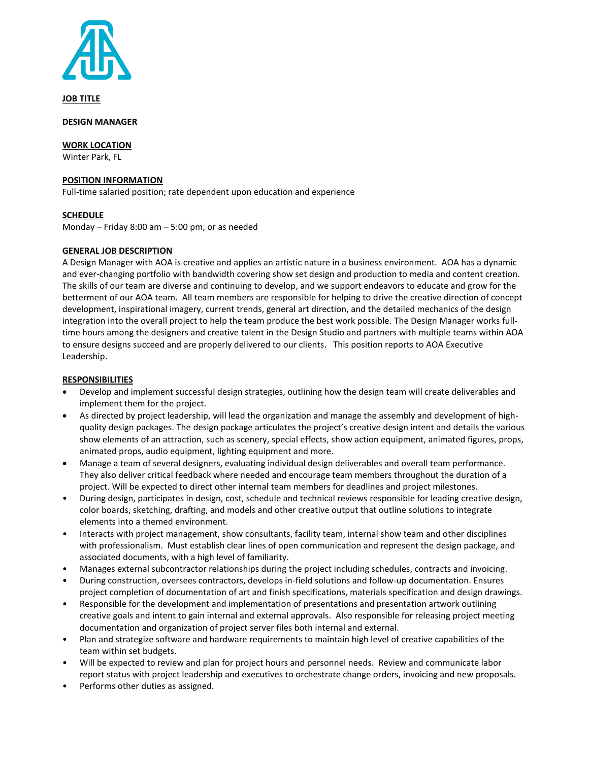

**JOB TITLE**

**DESIGN MANAGER**

**WORK LOCATION**

Winter Park, FL

#### **POSITION INFORMATION**

Full-time salaried position; rate dependent upon education and experience

# **SCHEDULE**

Monday – Friday 8:00 am – 5:00 pm, or as needed

# **GENERAL JOB DESCRIPTION**

A Design Manager with AOA is creative and applies an artistic nature in a business environment. AOA has a dynamic and ever-changing portfolio with bandwidth covering show set design and production to media and content creation. The skills of our team are diverse and continuing to develop, and we support endeavors to educate and grow for the betterment of our AOA team. All team members are responsible for helping to drive the creative direction of concept development, inspirational imagery, current trends, general art direction, and the detailed mechanics of the design integration into the overall project to help the team produce the best work possible. The Design Manager works fulltime hours among the designers and creative talent in the Design Studio and partners with multiple teams within AOA to ensure designs succeed and are properly delivered to our clients. This position reports to AOA Executive Leadership.

#### **RESPONSIBILITIES**

- Develop and implement successful design strategies, outlining how the design team will create deliverables and implement them for the project.
- As directed by project leadership, will lead the organization and manage the assembly and development of highquality design packages. The design package articulates the project's creative design intent and details the various show elements of an attraction, such as scenery, special effects, show action equipment, animated figures, props, animated props, audio equipment, lighting equipment and more.
- Manage a team of several designers, evaluating individual design deliverables and overall team performance. They also deliver critical feedback where needed and encourage team members throughout the duration of a project. Will be expected to direct other internal team members for deadlines and project milestones.
- During design, participates in design, cost, schedule and technical reviews responsible for leading creative design, color boards, sketching, drafting, and models and other creative output that outline solutions to integrate elements into a themed environment.
- Interacts with project management, show consultants, facility team, internal show team and other disciplines with professionalism. Must establish clear lines of open communication and represent the design package, and associated documents, with a high level of familiarity.
- Manages external subcontractor relationships during the project including schedules, contracts and invoicing.
- During construction, oversees contractors, develops in-field solutions and follow-up documentation. Ensures project completion of documentation of art and finish specifications, materials specification and design drawings.
- Responsible for the development and implementation of presentations and presentation artwork outlining creative goals and intent to gain internal and external approvals. Also responsible for releasing project meeting documentation and organization of project server files both internal and external.
- Plan and strategize software and hardware requirements to maintain high level of creative capabilities of the team within set budgets.
- Will be expected to review and plan for project hours and personnel needs. Review and communicate labor report status with project leadership and executives to orchestrate change orders, invoicing and new proposals.
- Performs other duties as assigned.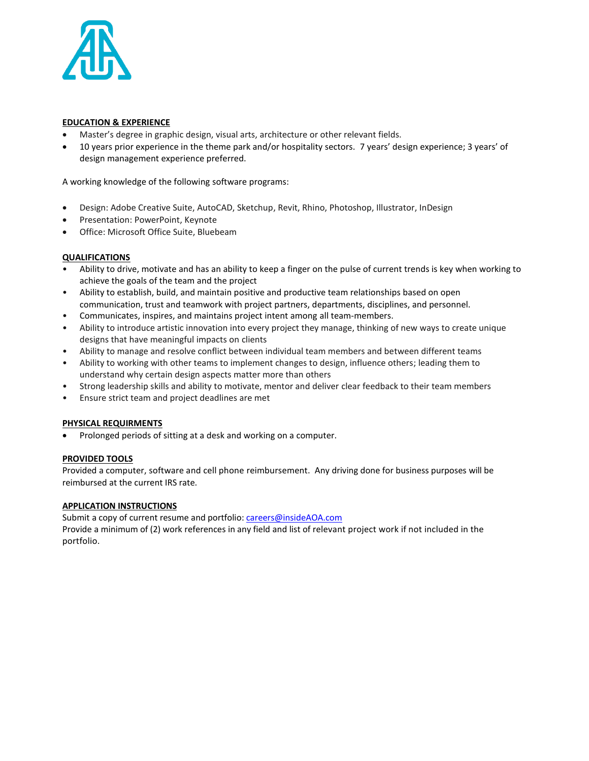

# **EDUCATION & EXPERIENCE**

- Master's degree in graphic design, visual arts, architecture or other relevant fields.
- 10 years prior experience in the theme park and/or hospitality sectors. 7 years' design experience; 3 years' of design management experience preferred.

A working knowledge of the following software programs:

- Design: Adobe Creative Suite, AutoCAD, Sketchup, Revit, Rhino, Photoshop, Illustrator, InDesign
- Presentation: PowerPoint, Keynote
- Office: Microsoft Office Suite, Bluebeam

# **QUALIFICATIONS**

- Ability to drive, motivate and has an ability to keep a finger on the pulse of current trends is key when working to achieve the goals of the team and the project
- Ability to establish, build, and maintain positive and productive team relationships based on open communication, trust and teamwork with project partners, departments, disciplines, and personnel.
- Communicates, inspires, and maintains project intent among all team-members.
- Ability to introduce artistic innovation into every project they manage, thinking of new ways to create unique designs that have meaningful impacts on clients
- Ability to manage and resolve conflict between individual team members and between different teams
- Ability to working with other teams to implement changes to design, influence others; leading them to understand why certain design aspects matter more than others
- Strong leadership skills and ability to motivate, mentor and deliver clear feedback to their team members
- Ensure strict team and project deadlines are met

# **PHYSICAL REQUIRMENTS**

• Prolonged periods of sitting at a desk and working on a computer.

# **PROVIDED TOOLS**

Provided a computer, software and cell phone reimbursement. Any driving done for business purposes will be reimbursed at the current IRS rate.

# **APPLICATION INSTRUCTIONS**

Submit a copy of current resume and portfolio: [careers@insideAOA.com](mailto:careers@insideAOA.com)

Provide a minimum of (2) work references in any field and list of relevant project work if not included in the portfolio.